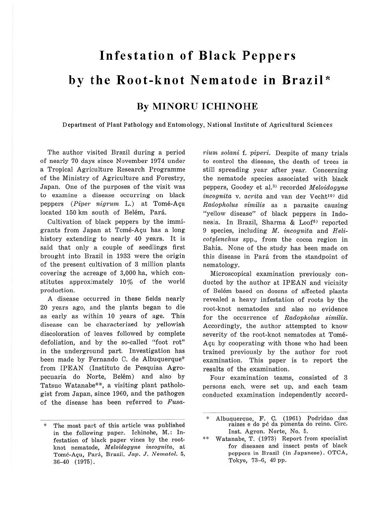## **Infestation of Black Peppers by the Root-knot Nematode in Brazil\***

## **By MINORU ICHINOHE**

Department of Plant Pathology and Entomology, National Institute of Agricultural Sciences

The author visited Brazil during a period of nearly 70 days since November 1974 under a Tropical Agriculture Research Programme of the Ministry of Agriculture and Forestry, Japan. One of the purposes of the visit was to examine a disease occurring on black peppers (Piper nigrum L.) at Tomé-Açu located 150 km south of Belém, Pará.

Cultivation of black peppers by the immigrants from Japan at Tomé-Acu has a long history extending to nearly 40 years. It is said that only a couple of seedlings first brought into Brazil in 1933 were the origin of the present cultivation of 3 million plants covering the acreage of 3,000 ha, which constitutes approximately 10% of the world production.

A disease occurred in these fields nearly 20 years ago, and the plants began to die as early as within 10 years of age. This disease can be characterized by yellowish discoloration of leaves followed by complete defoliation, and by the so-called "foot rot" in the underground part. Investigation has been made by Fernando C. de Albuquerque\* from IPEAN (lnstituto de Pesquisa Agropecuaria do Norte, Belém) and also by Tatsuo Watanabe\*\*, a visiting plant pathologist from Japan, since 1960, and the pathogen of the disease has been referred to Fusarium solani f. piperi. Despite of many trials to control the disease, the death of trees is still spreading year after year. Concerning the nematode species associated with black peppers, Goodey et al.<sup>3)</sup> recorded Meloidogyne incognita v. acrita and van der Vecht<sup>10)</sup> did Radopholus similis as a parasite causing "yellow disease" of black peppers in Indonesia. In Brazil, Sharma & Loof<sup>8)</sup> reported 9 species, including  $M$ , incognita and Helicotylenchus spp., from the cocoa region in Bahia. None of the study has been made on this disease in Para from the standpoint of nematology.

Microscopical examination previously conducted by the author at IPEAN and vicinity of Belem based on dozens of affected plants revealed a heavy infestation of roots by the root-knot nematodes and also no evidence for the occurrence of Radopholus similis. Accordingly, the author attempted to know severity of the root-knot nematodes at Tome-Agu by cooperating with those who had been trained previously by the author for root examination. This paper is to report the results of the examination.

Four examination teams, consisted of 3 persons each, were set up, and each team conducted examination independently accord-

The most part of this article was published in the following paper. lchinohe, M.: Infestation of black paper vines by the rootknot nematode, *Meloidogyne incognita,* at Tome-A~u, Par{t, Brazil. Jap. J. *Nematol.* 5, 36- 40 (1975).

<sup>\*</sup> Albuquerque F. C. (1961) Podridao das raizes e do pé da pimenta do reino. Circ. Inst. Agron. Norte, No. 5.

<sup>\*\*</sup> Watanabe, T. (1973) Report from specialist for diseases and insect pests of black peppers in Brazil (in Japanese). OTCA, Tokyo, 73-6, 49 pp.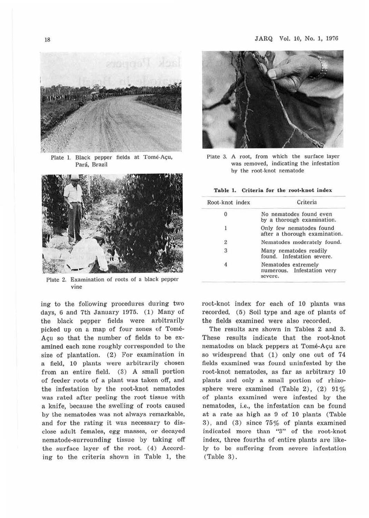

Plate 1. Black pepper fields at Tomé-Açu, Pará, Brazil



Plate 2. Examination of roots of a black pepper vine

ing to the following procedures during two days, 6 and 7th January 1975. (1) Many of the black pepper fields were arbitrarily picked up on a map of four zones of Tome-Açu so that the number of fields to be examined each zone roughly corresponded to the size of plantation. (2) For examination in a field, 10 plants were arbitrarily chosen from an entire field. (3) A small portion of feeder roots of a plant was taken off, and the infestation by the root-knot nematodes was rated after peeling the root tissue with a knife, because the swelling of roots caused by the nematodes was not always remarkable, and for the rating it was necessary to disclose adult females, egg masses, or decayed nematode-surrounding tissue by taking off the surface layer of the root.  $(4)$  According to the criteria shown in Table 1, the



Plate 3. A root, from which the surface layer was removed, indicating the infestation by the root-knot nematode

## Table 1. Criteria for the root-knot index

| Root-knot index | Criteria<br>No nematodes found even<br>by a thorough examination.<br>Only few nematodes found<br>after a thorough examination. |  |  |
|-----------------|--------------------------------------------------------------------------------------------------------------------------------|--|--|
|                 |                                                                                                                                |  |  |
| ı               |                                                                                                                                |  |  |
| $\overline{c}$  | Nematodes moderately found.                                                                                                    |  |  |
| 3               | Many nematodes readily<br>found. Infestation severe.                                                                           |  |  |
|                 | Nematodes extremely<br>numerous. Infestation very<br>severe.                                                                   |  |  |

root-knot index for each of 10 plants was recorded. (5) Soil type and age of plants of the fields examined were also recorded.

The results are shown in Tables 2 and 3. These results indicate that the root-knot nematodes on black peppers at Tomé-Açu are so widespread that (1) only one out of 74 fields examined was found uninfested by the root-knot nematodes, as far as arbitrary 10 plants and only a small portion of rhizosphere were examined (Table 2), (2)  $91\%$ of plants examined were infested by the nematodes, i.e., the infestation can be found at a rate as high as 9 of 10 plants (Table 3), and (3) since 75% of plants examined indicated more than "3" of the root-knot index, three fourths of entire plants are likely to be suffering from severe infestation (Table 3).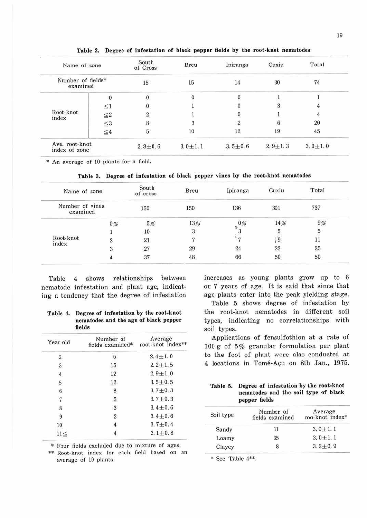| Name of zone<br>Number of fields*<br>examined |           | South<br>of Cross | Breu        | Ipiranga       | Cuxiu       | Total       |
|-----------------------------------------------|-----------|-------------------|-------------|----------------|-------------|-------------|
|                                               |           | 15                | 15          | 14             | 30          | 74          |
| Root-knot<br>index                            |           |                   |             |                |             |             |
|                                               | $\leq 1$  | $\bf{0}$          |             |                | 3           |             |
|                                               | ${\leq}2$ | $\boldsymbol{2}$  |             |                |             |             |
|                                               | ${\leq}3$ | $\, 8$            |             | $\overline{2}$ | 6           | 20          |
|                                               | ${\leq}4$ | 5                 | 10          | 12             | 19          | 45          |
| Ave. root-knot<br>index of zone               |           | $2.8 + 0.6$       | $3.0 + 1.1$ | $3.5 \pm 0.6$  | $2.9 + 1.3$ | $3.0 + 1.0$ |

**Table 2. Degree of infestation of black pepper fields by the root-knot nematodes** 

\* An average of 10 plants for a field.

**Table 3. Degree of infestation of black pepper vines by the root-knot nematodes** 

| Name of zone<br>Number of vines<br>examined |    | South<br>of cross | Breu | Ipiranga | Cuxiu | Total |
|---------------------------------------------|----|-------------------|------|----------|-------|-------|
|                                             |    | 150               | 150  | 136      | 301   | 737   |
| Root-knot<br>index                          | 0% | 5%                | 13%  | 0%       | 14%   | 9%    |
|                                             |    | 10                | 3    |          |       |       |
|                                             | 2  | 21                |      |          | 9     | 11    |
|                                             | 3  | 27                | 29   | 24       | 22    | 25    |
|                                             | 4  | 37                | 48   | 66       | 50    | 50    |

Table 4 shows relationships between nematode infestation and plant age, indicating a tendency that the degree of infestation

|  |  | Table 4. Degree of infestation by the root-knot |
|--|--|-------------------------------------------------|
|  |  | nematodes and the age of black pepper           |
|  |  | fields                                          |

| Year-old         | Number of<br>fields examined $*$ | Average<br>root-knot index** |
|------------------|----------------------------------|------------------------------|
| 2                | 5                                | $2.4 + 1.0$                  |
| $\boldsymbol{3}$ | 15                               | $2.2 + 1.5$                  |
| $\overline{4}$   | 12                               | $2.9 + 1.0$                  |
| 5                | 12                               | $3.5 + 0.5$                  |
| 6                | 8                                | $3.7 + 0.3$                  |
| $7\phantom{.0}$  | 5                                | $3.7 + 0.3$                  |
| 8                | 3                                | $3.4 + 0.6$                  |
| 9                | $\mathbf{2}$                     | $3.4 + 0.6$                  |
| 10               |                                  | $3.7 + 0.4$                  |
| $11 \leq$        |                                  | $3.1 + 0.8$                  |

\* Four fields excluded due to mixture of ages.

\*\* Root-knot index for each field based on an average of 10 plants.

increases as young plants grow up to 6 or 7 years of age. It is said that since that age plants enter into the peak yielding stage.

Table 5 shows degree of infestation by the root-knot nematodes in different soil types, indicating no correlationships with soil types.

Applications of fensulfothion at a rate of 100 g of 5% granular formulation per plant to the foot of plant were also conducted at 4 locations in Tomé-Açu on 8th Jan., 1975.

|  | Table 5. Degree of infestation by the root-knot |
|--|-------------------------------------------------|
|  | nematodes and the soil type of black            |
|  | pepper fields                                   |

| Soil type | Number of<br>fields examined | Average<br>roo-knot index* |  |
|-----------|------------------------------|----------------------------|--|
| Sandy     | 31                           | $3.0 + 1.1$                |  |
| Loamy     | 35                           | $3.0 + 1.1$                |  |
| Clayey    | 8                            | $3, 2 + 0, 9$              |  |

\* See Table 4\*\*·